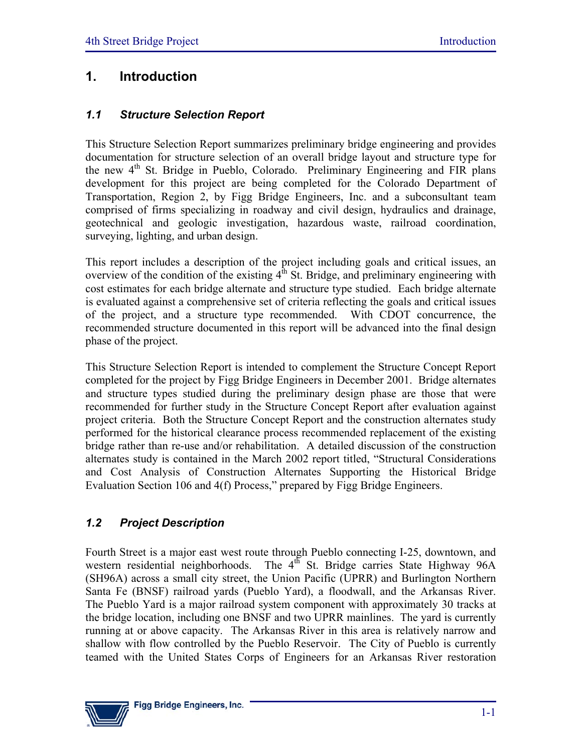# **1. Introduction**

### *1.1 Structure Selection Report*

This Structure Selection Report summarizes preliminary bridge engineering and provides documentation for structure selection of an overall bridge layout and structure type for the new 4<sup>th</sup> St. Bridge in Pueblo, Colorado. Preliminary Engineering and FIR plans development for this project are being completed for the Colorado Department of Transportation, Region 2, by Figg Bridge Engineers, Inc. and a subconsultant team comprised of firms specializing in roadway and civil design, hydraulics and drainage, geotechnical and geologic investigation, hazardous waste, railroad coordination, surveying, lighting, and urban design.

This report includes a description of the project including goals and critical issues, an overview of the condition of the existing  $4<sup>th</sup>$  St. Bridge, and preliminary engineering with cost estimates for each bridge alternate and structure type studied. Each bridge alternate is evaluated against a comprehensive set of criteria reflecting the goals and critical issues of the project, and a structure type recommended. With CDOT concurrence, the recommended structure documented in this report will be advanced into the final design phase of the project.

This Structure Selection Report is intended to complement the Structure Concept Report completed for the project by Figg Bridge Engineers in December 2001. Bridge alternates and structure types studied during the preliminary design phase are those that were recommended for further study in the Structure Concept Report after evaluation against project criteria. Both the Structure Concept Report and the construction alternates study performed for the historical clearance process recommended replacement of the existing bridge rather than re-use and/or rehabilitation. A detailed discussion of the construction alternates study is contained in the March 2002 report titled, "Structural Considerations and Cost Analysis of Construction Alternates Supporting the Historical Bridge Evaluation Section 106 and 4(f) Process," prepared by Figg Bridge Engineers.

# *1.2 Project Description*

Fourth Street is a major east west route through Pueblo connecting I-25, downtown, and western residential neighborhoods. The  $4^{th}$  St. Bridge carries State Highway 96A (SH96A) across a small city street, the Union Pacific (UPRR) and Burlington Northern Santa Fe (BNSF) railroad yards (Pueblo Yard), a floodwall, and the Arkansas River. The Pueblo Yard is a major railroad system component with approximately 30 tracks at the bridge location, including one BNSF and two UPRR mainlines. The yard is currently running at or above capacity. The Arkansas River in this area is relatively narrow and shallow with flow controlled by the Pueblo Reservoir. The City of Pueblo is currently teamed with the United States Corps of Engineers for an Arkansas River restoration

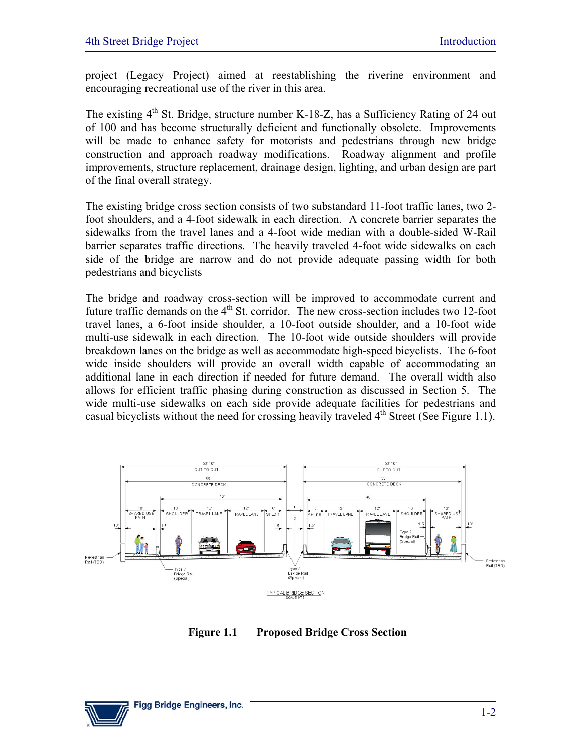project (Legacy Project) aimed at reestablishing the riverine environment and encouraging recreational use of the river in this area.

The existing  $4<sup>th</sup>$  St. Bridge, structure number K-18-Z, has a Sufficiency Rating of 24 out of 100 and has become structurally deficient and functionally obsolete. Improvements will be made to enhance safety for motorists and pedestrians through new bridge construction and approach roadway modifications. Roadway alignment and profile improvements, structure replacement, drainage design, lighting, and urban design are part of the final overall strategy.

The existing bridge cross section consists of two substandard 11-foot traffic lanes, two 2 foot shoulders, and a 4-foot sidewalk in each direction. A concrete barrier separates the sidewalks from the travel lanes and a 4-foot wide median with a double-sided W-Rail barrier separates traffic directions. The heavily traveled 4-foot wide sidewalks on each side of the bridge are narrow and do not provide adequate passing width for both pedestrians and bicyclists

The bridge and roadway cross-section will be improved to accommodate current and future traffic demands on the  $4<sup>th</sup>$  St. corridor. The new cross-section includes two 12-foot travel lanes, a 6-foot inside shoulder, a 10-foot outside shoulder, and a 10-foot wide multi-use sidewalk in each direction. The 10-foot wide outside shoulders will provide breakdown lanes on the bridge as well as accommodate high-speed bicyclists. The 6-foot wide inside shoulders will provide an overall width capable of accommodating an additional lane in each direction if needed for future demand. The overall width also allows for efficient traffic phasing during construction as discussed in Section 5. The wide multi-use sidewalks on each side provide adequate facilities for pedestrians and casual bicyclists without the need for crossing heavily traveled  $4<sup>th</sup>$  Street (See Figure 1.1).



**Figure 1.1 Proposed Bridge Cross Section** 

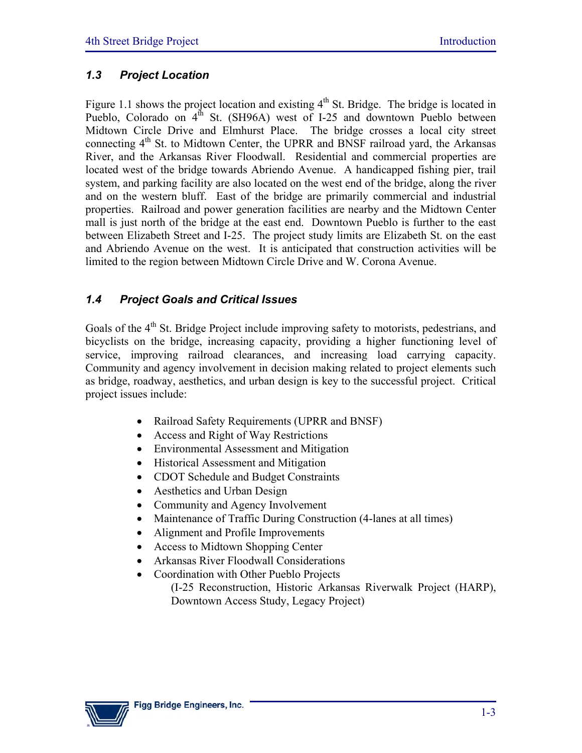### *1.3 Project Location*

Figure 1.1 shows the project location and existing  $4<sup>th</sup>$  St. Bridge. The bridge is located in Pueblo, Colorado on  $4^{th}$  St. (SH96A) west of I-25 and downtown Pueblo between Midtown Circle Drive and Elmhurst Place. The bridge crosses a local city street connecting  $4<sup>th</sup>$  St. to Midtown Center, the UPRR and BNSF railroad yard, the Arkansas River, and the Arkansas River Floodwall. Residential and commercial properties are located west of the bridge towards Abriendo Avenue. A handicapped fishing pier, trail system, and parking facility are also located on the west end of the bridge, along the river and on the western bluff. East of the bridge are primarily commercial and industrial properties. Railroad and power generation facilities are nearby and the Midtown Center mall is just north of the bridge at the east end. Downtown Pueblo is further to the east between Elizabeth Street and I-25. The project study limits are Elizabeth St. on the east and Abriendo Avenue on the west. It is anticipated that construction activities will be limited to the region between Midtown Circle Drive and W. Corona Avenue.

### *1.4 Project Goals and Critical Issues*

Goals of the  $4<sup>th</sup>$  St. Bridge Project include improving safety to motorists, pedestrians, and bicyclists on the bridge, increasing capacity, providing a higher functioning level of service, improving railroad clearances, and increasing load carrying capacity. Community and agency involvement in decision making related to project elements such as bridge, roadway, aesthetics, and urban design is key to the successful project. Critical project issues include:

- Railroad Safety Requirements (UPRR and BNSF)
- Access and Right of Way Restrictions
- Environmental Assessment and Mitigation
- Historical Assessment and Mitigation
- CDOT Schedule and Budget Constraints
- Aesthetics and Urban Design
- Community and Agency Involvement
- Maintenance of Traffic During Construction (4-lanes at all times)
- Alignment and Profile Improvements
- Access to Midtown Shopping Center
- Arkansas River Floodwall Considerations
- Coordination with Other Pueblo Projects
	- (I-25 Reconstruction, Historic Arkansas Riverwalk Project (HARP), Downtown Access Study, Legacy Project)